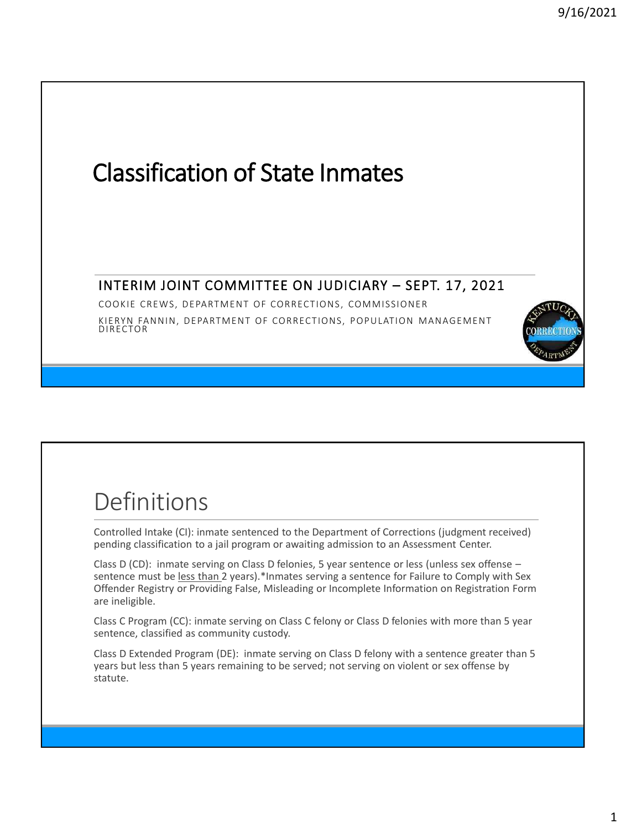

# Definitions

Controlled Intake (CI): inmate sentenced to the Department of Corrections (judgment received) pending classification to a jail program or awaiting admission to an Assessment Center.

Class D (CD): inmate serving on Class D felonies, 5 year sentence or less (unless sex offense – sentence must be less than 2 years).\*Inmates serving a sentence for Failure to Comply with Sex Offender Registry or Providing False, Misleading or Incomplete Information on Registration Form are ineligible.

Class C Program (CC): inmate serving on Class C felony or Class D felonies with more than 5 year sentence, classified as community custody.

Class D Extended Program (DE): inmate serving on Class D felony with a sentence greater than 5 years but less than 5 years remaining to be served; not serving on violent or sex offense by statute.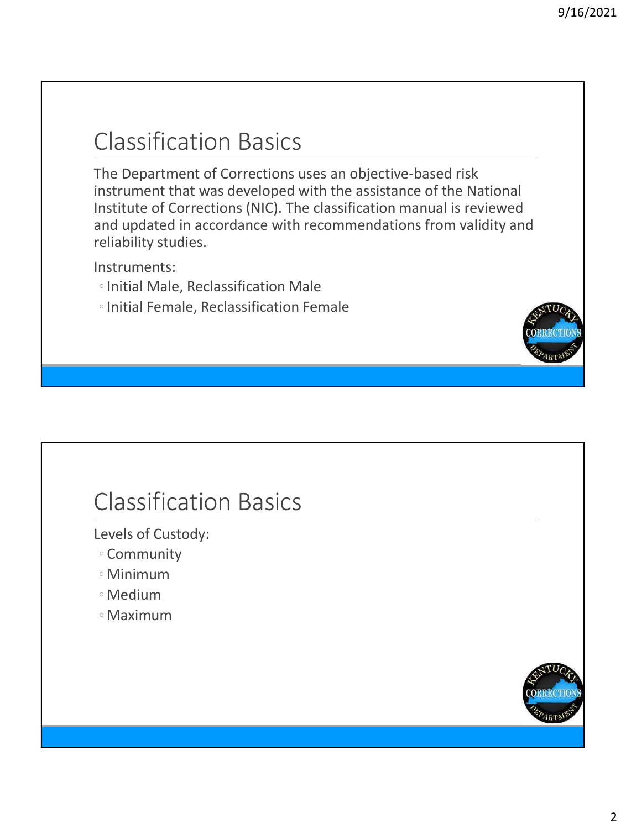## Classification Basics

The Department of Corrections uses an objective-based risk instrument that was developed with the assistance of the National Institute of Corrections (NIC). The classification manual is reviewed and updated in accordance with recommendations from validity and reliability studies.

Instruments:

- ◦Initial Male, Reclassification Male
- ◦Initial Female, Reclassification Female

### Classification Basics

Levels of Custody:

- Community
- Minimum
- Medium
- Maximum

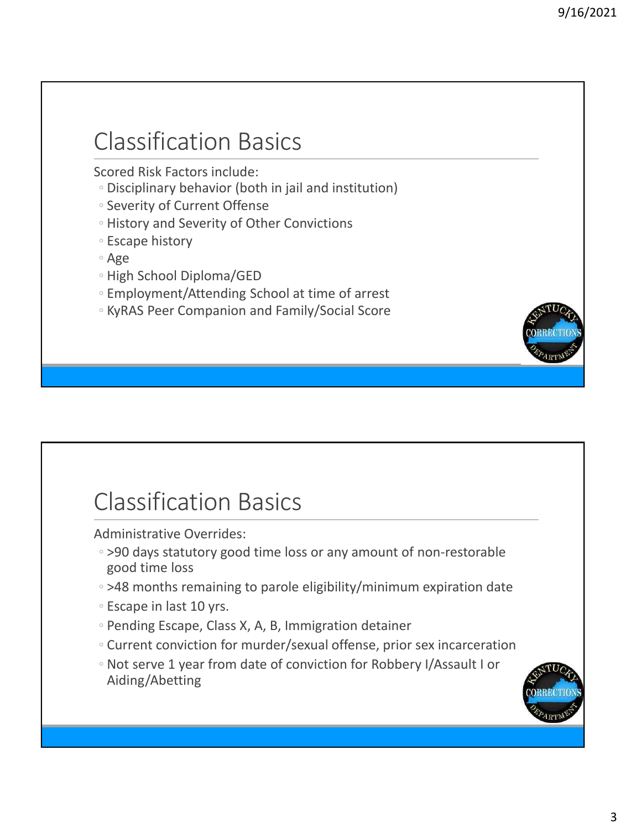### Classification Basics

Scored Risk Factors include:

- Disciplinary behavior (both in jail and institution)
- Severity of Current Offense
- History and Severity of Other Convictions
- Escape history
- Age
- High School Diploma/GED
- Employment/Attending School at time of arrest
- KyRAS Peer Companion and Family/Social Score

### Classification Basics

Administrative Overrides:

- >90 days statutory good time loss or any amount of non-restorable good time loss
- >48 months remaining to parole eligibility/minimum expiration date
- Escape in last 10 yrs.
- Pending Escape, Class X, A, B, Immigration detainer
- Current conviction for murder/sexual offense, prior sex incarceration
- Not serve 1 year from date of conviction for Robbery I/Assault I or Aiding/Abetting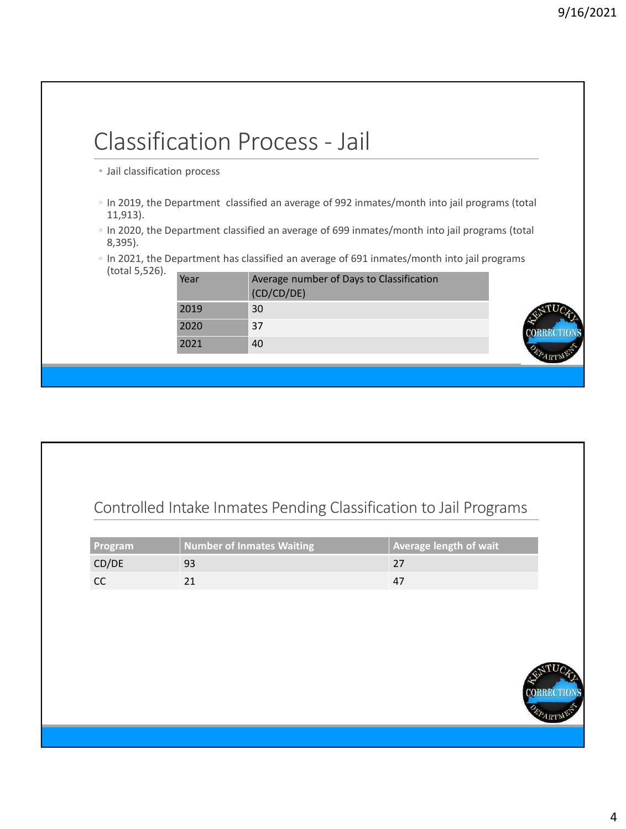|                               |                                                                                             | <b>Classification Process - Jail</b>                                                           |  |
|-------------------------------|---------------------------------------------------------------------------------------------|------------------------------------------------------------------------------------------------|--|
| • Jail classification process |                                                                                             |                                                                                                |  |
| 11,913).                      |                                                                                             | ○ In 2019, the Department classified an average of 992 inmates/month into jail programs (total |  |
| $8,395$ ).                    |                                                                                             | ∘ In 2020, the Department classified an average of 699 inmates/month into jail programs (total |  |
|                               | ○ In 2021, the Department has classified an average of 691 inmates/month into jail programs |                                                                                                |  |
| (total 5,526).                | Year                                                                                        | Average number of Days to Classification<br>(CD/CD/DE)                                         |  |
|                               | 2019                                                                                        | 30                                                                                             |  |
|                               | 2020                                                                                        | 37                                                                                             |  |
|                               |                                                                                             |                                                                                                |  |

#### Controlled Intake Inmates Pending Classification to Jail Programs

| <b>Program</b> | Number of Inmates Waiting | $\parallel$ Average length of wait |
|----------------|---------------------------|------------------------------------|
| CD/DE          |                           |                                    |
|                |                           |                                    |

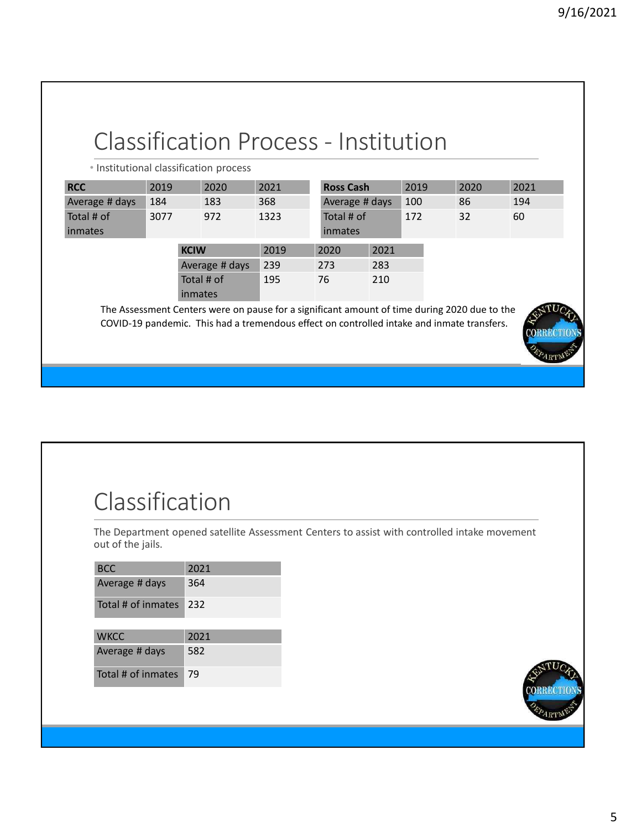#### Classification Process - Institution • Institutional classification process **RCC** 2019 2020 2021 Average # days 184 183 368 Total # of inmates 3077 972 1323 **KCIW** 2019 2020 2021 Average # days 239 273 283 Total # of inmates 195 76 210 The Assessment Centers were on pause for a significant amount of time during 2020 due to the COVID-19 pandemic. This had a tremendous effect on controlled intake and inmate transfers. **Ross Cash** 2019 2020 2021 Average # days 100 86 194 Total # of inmates 172 32 60

# Classification

The Department opened satellite Assessment Centers to assist with controlled intake movement out of the jails.

| <b>BCC</b>         | 2021 |
|--------------------|------|
| Average # days     | 364  |
| Total # of inmates | 232  |
|                    |      |
| <b>WKCC</b>        | 2021 |
| Average # days     | 582  |
| Total # of inmates | 79   |



4RT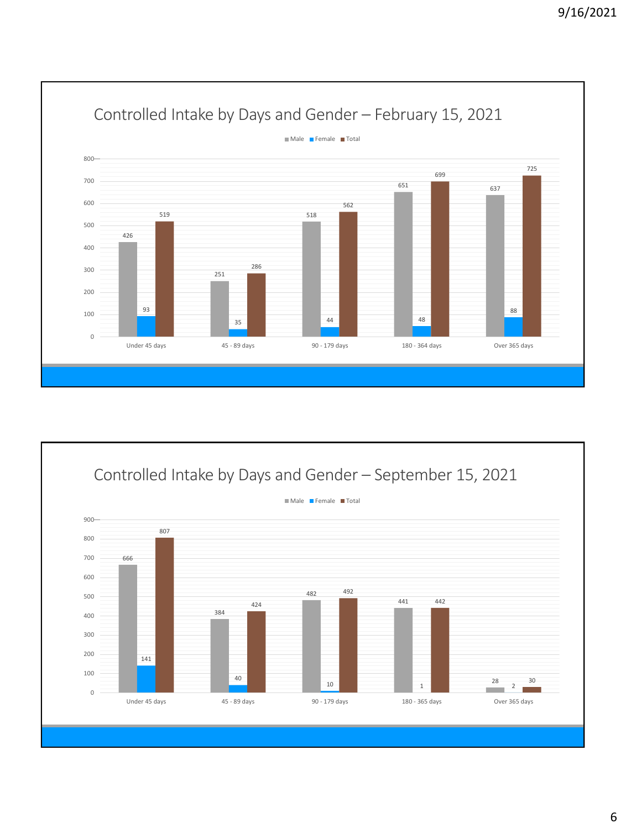